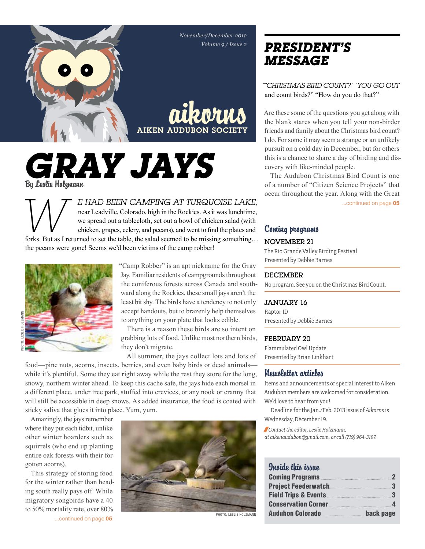*November/December 2012 Volume 9 / Issue 2*



aikorns AIKEN AUDUBON SOCIE

# *Gray Jays* By Leslie Holzmann

*E HAD BEEN CAMPING AT TURQUOISE LAKE,*<br>near Leadville, Colorado, high in the Rockies. As it was lunchtime,<br>we spread out a tablecloth, set out a bowl of chicken salad (with<br>chicken, grapes, celery, and pecans), and went t near Leadville, Colorado, high in the Rockies. As it was lunchtime, we spread out a tablecloth, set out a bowl of chicken salad (with chicken, grapes, celery, and pecans), and went to find the plates and forks. But as I returned to set the table, the salad seemed to be missing something… the pecans were gone! Seems we'd been victims of the camp robber!



"Camp Robber" is an apt nickname for the Gray Jay. Familiar residents of campgrounds throughout the coniferous forests across Canada and southward along the Rockies, these small jays aren't the least bit shy. The birds have a tendency to not only accept handouts, but to brazenly help themselves to anything on your plate that looks edible.

There is a reason these birds are so intent on grabbing lots of food. Unlike most northern birds, they don't migrate.

All summer, the jays collect lots and lots of food—pine nuts, acorns, insects, berries, and even baby birds or dead animals while it's plentiful. Some they eat right away while the rest they store for the long, snowy, northern winter ahead. To keep this cache safe, the jays hide each morsel in a different place, under tree park, stuffed into crevices, or any nook or cranny that will still be accessible in deep snows. As added insurance, the food is coated with sticky saliva that glues it into place. Yum, yum.

Amazingly, the jays remember where they put each tidbit, unlike other winter hoarders such as squirrels (who end up planting entire oak forests with their forgotten acorns).

This strategy of storing food for the winter rather than heading south really pays off. While migratory songbirds have a 40 to 50% mortality rate, over 80% ...continued on page 05



### *president's message*

*""Christmas bird count?" "You go out*  and count birds?" "How do you do that?"

Are these some of the questions you get along with the blank stares when you tell your non-birder friends and family about the Christmas bird count? I do. For some it may seem a strange or an unlikely pursuit on a cold day in December, but for others this is a chance to share a day of birding and discovery with like-minded people.

The Audubon Christmas Bird Count is one of a number of "Citizen Science Projects" that occur throughout the year. Along with the Great

...continued on page 05

#### Coming programs

### November 21

The Rio Grande Valley Birding Festival Presented by Debbie Barnes

#### **DECEMBER**

No program. See you on the Christmas Bird Count.

#### January 16

Raptor ID Presented by Debbie Barnes

#### February 20

Flammulated Owl Update Presented by Brian Linkhart

#### Newsletter articles

Items and announcements of special interest to Aiken Audubon members are welcomed for consideration. We'd love to hear from you!

Deadline for the Jan./Feb. 2013 issue of *Aikorns* is Wednesday, December 19.

/*Contact the editor, Leslie Holzmann, at aikenaudubon@gmail.com, or call (719) 964-3197.*

#### Inside this issue

| <b>Coming Programs Community Community Community Community Community Community</b> | 2         |
|------------------------------------------------------------------------------------|-----------|
| <b>Project Feederwatch</b>                                                         | 3         |
|                                                                                    |           |
| Conservation Corner                                                                | - 4       |
| <b>Audubon Colorado</b>                                                            | back page |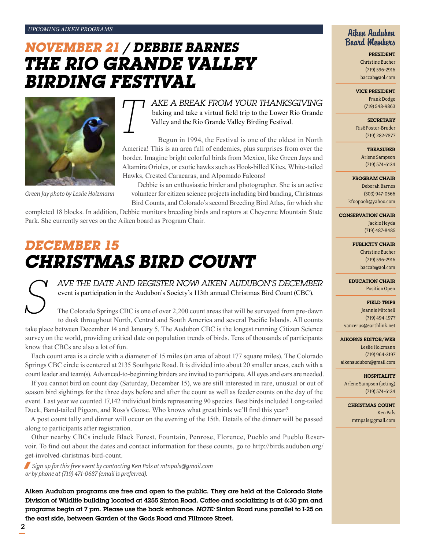# *November 21 / Debbie Barnes The Rio Grande Valley Birding Festival*



*Green Jay photo by Leslie Holzmann*

#### *T ake a break from your Thanksgiving*  baking and take a virtual field trip to the Lower Rio Grande Valley and the Rio Grande Valley Birding Festival.

Begun in 1994, the Festival is one of the oldest in North America! This is an area full of endemics, plus surprises from over the border. Imagine bright colorful birds from Mexico, like Green Jays and Altamira Orioles, or exotic hawks such as Hook-billed Kites, White-tailed Hawks, Crested Caracaras, and Alpomado Falcons!

Debbie is an enthusiastic birder and photographer. She is an active volunteer for citizen science projects including bird banding, Christmas Bird Counts, and Colorado's second Breeding Bird Atlas, for which she

completed 18 blocks. In addition, Debbie monitors breeding birds and raptors at Cheyenne Mountain State Park. She currently serves on the Aiken board as Program Chair.

# *December 15 Christmas Bird Count*

*S AVE THE DATE AND REGISTER NOW! AIKEN AUDUBON'S DECEMBER* event is participation in the Audubon's Society's 113th annual Christmas Bird Count (CBC).<br>The Colorado Springs CBC is one of over 2,200 count areas that will b event is participation in the Audubon's Society's 113th annual Christmas Bird Count (CBC).

The Colorado Springs CBC is one of over 2,200 count areas that will be surveyed from pre-dawn to dusk throughout North, Central and South America and several Pacific Islands. All counts take place between December 14 and January 5. The Audubon CBC is the longest running Citizen Science survey on the world, providing critical date on population trends of birds. Tens of thousands of participants know that CBCs are also a lot of fun.

Each count area is a circle with a diameter of 15 miles (an area of about 177 square miles). The Colorado Springs CBC circle is centered at 2135 Southgate Road. It is divided into about 20 smaller areas, each with a count leader and team(s). Advanced-to-beginning birders are invited to participate. All eyes and ears are needed.

If you cannot bird on count day (Saturday, December 15), we are still interested in rare, unusual or out of season bird sightings for the three days before and after the count as well as feeder counts on the day of the event. Last year we counted 17,142 individual birds representing 90 species. Best birds included Long-tailed Duck, Band-tailed Pigeon, and Ross's Goose. Who knows what great birds we'll find this year?

A post count tally and dinner will occur on the evening of the 15th. Details of the dinner will be passed along to participants after registration.

Other nearby CBCs include Black Forest, Fountain, Penrose, Florence, Pueblo and Pueblo Reservoir. To find out about the dates and contact information for these counts, go to http://birds.audubon.org/ get-involved-christmas-bird-count.

/ *Sign up for this free event by contacting Ken Pals at mtnpals@gmail.com or by phone at (719) 471-0687 (email is preferred).*

Aiken Audubon programs are free and open to the public. They are held at the Colorado State Division of Wildlife building located at 4255 Sinton Road. Coffee and socializing is at 6:30 pm and programs begin at 7 pm. Please use the back entrance. *Note:* Sinton Road runs parallel to I-25 on the east side, between Garden of the Gods Road and Fillmore Street.

### Aiken Audubon Board Members

President Christine Bucher (719) 596-2916 baccab@aol.com

Vice President

Frank Dodge (719) 548-9863

**SECRETARY** Risë Foster-Bruder (719) 282-7877

> Treasurer Arlene Sampson (719) 574-6134

Program Chair

Deborah Barnes (303) 947-0566 kfoopooh@yahoo.com

Conservation Chair Jackie Heyda (719) 487-8485

> Publicity Chair Christine Bucher (719) 596-2916 baccab@aol.com

Education Chair Position Open

Field Trips Jeannie Mitchell (719) 494-1977 vancerus@earthlink.net

#### Aikorns Editor/Web

Leslie Holzmann (719) 964-3197 aikenaudubon@gmail.com

**HOSPITALITY** Arlene Sampson (acting) (719) 574-6134

Christmas Count Ken Pals mtnpals@gmail.com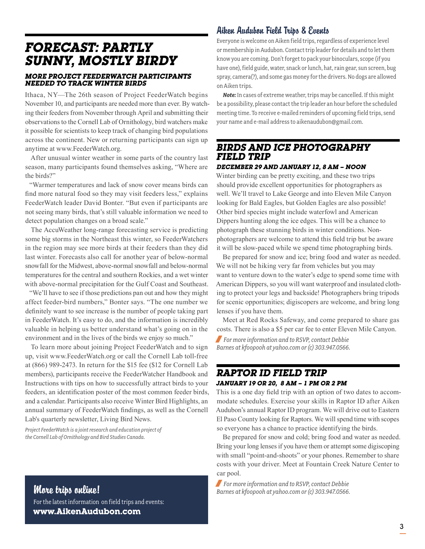### *Forecast: Partly Sunny, Mostly Birdy*

#### *More Project FeederWatch participants needed to track winter birds*

Ithaca, NY—The 26th season of Project FeederWatch begins November 10, and participants are needed more than ever. By watching their feeders from November through April and submitting their observations to the Cornell Lab of Ornithology, bird watchers make it possible for scientists to keep track of changing bird populations across the continent. New or returning participants can sign up anytime at www.FeederWatch.org.

After unusual winter weather in some parts of the country last season, many participants found themselves asking, "Where are the birds?"

"Warmer temperatures and lack of snow cover means birds can find more natural food so they may visit feeders less," explains FeederWatch leader David Bonter. "But even if participants are not seeing many birds, that's still valuable information we need to detect population changes on a broad scale."

The AccuWeather long-range forecasting service is predicting some big storms in the Northeast this winter, so FeederWatchers in the region may see more birds at their feeders than they did last winter. Forecasts also call for another year of below-normal snowfall for the Midwest, above-normal snowfall and below-normal temperatures for the central and southern Rockies, and a wet winter with above-normal precipitation for the Gulf Coast and Southeast.

"We'll have to see if those predictions pan out and how they might affect feeder-bird numbers," Bonter says. "The one number we definitely want to see increase is the number of people taking part in FeederWatch. It's easy to do, and the information is incredibly valuable in helping us better understand what's going on in the environment and in the lives of the birds we enjoy so much."

To learn more about joining Project FeederWatch and to sign up, visit www.FeederWatch.org or call the Cornell Lab toll-free at (866) 989-2473. In return for the \$15 fee (\$12 for Cornell Lab members), participants receive the FeederWatcher Handbook and Instructions with tips on how to successfully attract birds to your feeders, an identification poster of the most common feeder birds, and a calendar. Participants also receive Winter Bird Highlights, an annual summary of FeederWatch findings, as well as the Cornell Lab's quarterly newsletter, Living Bird News.

*Project FeederWatch is a joint research and education project of the Cornell Lab of Ornithology and Bird Studies Canada.*

Aiken Audubon Field Trips & Events

Everyone is welcome on Aiken field trips, regardless of experience level or membership in Audubon. Contact trip leader for details and to let them know you are coming. Don't forget to pack your binoculars, scope (if you have one), field guide, water, snack or lunch, hat, rain gear, sun screen, bug spray, camera(?), and some gas money for the drivers. No dogs are allowed on Aiken trips.

*Note:* In cases of extreme weather, trips may be cancelled. If this might be a possibility, please contact the trip leader an hour before the scheduled meeting time. To receive e-mailed reminders of upcoming field trips, send your name and e-mail address to aikenaudubon@gmail.com.

### *Birds and Ice Photography Field Trip*

#### *December 29 and January 12, 8 am – Noon*

Winter birding can be pretty exciting, and these two trips should provide excellent opportunities for photographers as well. We'll travel to Lake George and into Eleven Mile Canyon looking for Bald Eagles, but Golden Eagles are also possible! Other bird species might include waterfowl and American Dippers hunting along the ice edges. This will be a chance to photograph these stunning birds in winter conditions. Nonphotographers are welcome to attend this field trip but be aware it will be slow-paced while we spend time photographing birds.

Be prepared for snow and ice; bring food and water as needed. We will not be hiking very far from vehicles but you may want to venture down to the water's edge to spend some time with American Dippers, so you will want waterproof and insulated clothing to protect your legs and backside! Photographers bring tripods for scenic opportunities; digiscopers are welcome, and bring long lenses if you have them.

Meet at Red Rocks Safeway, and come prepared to share gas costs. There is also a \$5 per car fee to enter Eleven Mile Canyon.

/ *For more information and to RSVP, contact Debbie Barnes at kfoopooh at yahoo.com or (c) 303.947.0566.*

### *Raptor ID Field Trip January 19 or 20, 8 am – 1 pm or 2 pm*

This is a one day field trip with an option of two dates to accommodate schedules. Exercise your skills in Raptor ID after Aiken Audubon's annual Raptor ID program. We will drive out to Eastern El Paso County looking for Raptors. We will spend time with scopes so everyone has a chance to practice identifying the birds.

Be prepared for snow and cold; bring food and water as needed. Bring your long lenses if you have them or attempt some digiscoping with small "point-and-shoots" or your phones. Remember to share costs with your driver. Meet at Fountain Creek Nature Center to car pool.

/ *For more information and to RSVP, contact Debbie* More trips online! *Barnes at kfoopooh at yahoo.com or (c) 303.947.0566.*

For the latest information on field trips and events: **www.AikenAudubon.com**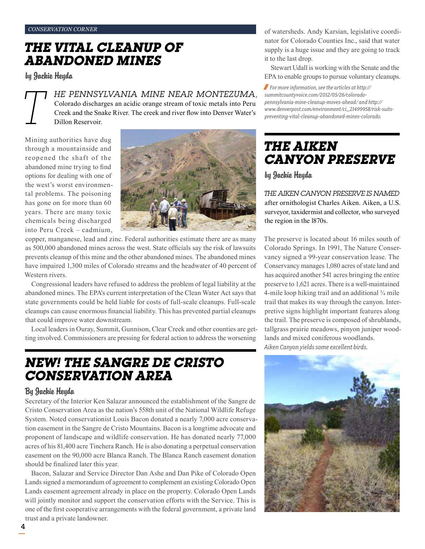## *The Vital Cleanup of Abandoned Mines*

by Jackie Heyda

*T he Pennsylvania Mine near Montezuma,*  Colorado discharges an acidic orange stream of toxic metals into Peru Creek and the Snake River. The creek and river flow into Denver Water's Dillon Reservoir.

Mining authorities have dug through a mountainside and reopened the shaft of the abandoned mine trying to find options for dealing with one of the west's worst environmental problems. The poisoning has gone on for more than 60 years. There are many toxic chemicals being discharged into Peru Creek – cadmium,



copper, manganese, lead and zinc. Federal authorities estimate there are as many as 500,000 abandoned mines across the west. State officials say the risk of lawsuits prevents cleanup of this mine and the other abandoned mines. The abandoned mines have impaired 1,300 miles of Colorado streams and the headwater of 40 percent of Western rivers.

Congressional leaders have refused to address the problem of legal liability at the abandoned mines. The EPA's current interpretation of the Clean Water Act says that state governments could be held liable for costs of full-scale cleanups. Full-scale cleanups can cause enormous financial liability. This has prevented partial cleanups that could improve water downstream.

Local leaders in Ouray, Summit, Gunnison, Clear Creek and other counties are getting involved. Commissioners are pressing for federal action to address the worsening

### *New! The Sangre de Cristo Conservation Area*

#### By Jackie Heyda

Secretary of the Interior Ken Salazar announced the establishment of the Sangre de Cristo Conservation Area as the nation's 558th unit of the National Wildlife Refuge System. Noted conservationist Louis Bacon donated a nearly 7,000 acre conservation easement in the Sangre de Cristo Mountains. Bacon is a longtime advocate and proponent of landscape and wildlife conservation. He has donated nearly 77,000 acres of his 81,400 acre Tinchera Ranch. He is also donating a perpetual conservation easement on the 90,000 acre Blanca Ranch. The Blanca Ranch easement donation should be finalized later this year.

Bacon, Salazar and Service Director Dan Ashe and Dan Pike of Colorado Open Lands signed a memorandum of agreement to complement an existing Colorado Open Lands easement agreement already in place on the property. Colorado Open Lands will jointly monitor and support the conservation efforts with the Service. This is one of the first cooperative arrangements with the federal government, a private land trust and a private landowner.

of watersheds. Andy Karsian, legislative coordinator for Colorado Counties Inc., said that water supply is a huge issue and they are going to track it to the last drop.

Stewart Udall is working with the Senate and the EPA to enable groups to pursue voluntary cleanups.

/ *For more information, see the articles at http:// summitcountyvoice.com/2012/05/26/coloradopennsylvania-mine-cleanup-moves-ahead/ and http:// www.denverpost.com/environment/ci\_21499958/risk-suitspreventing-vital-cleanup-abandoned-mines-colorado.*

## *The Aiken Canyon Preserve*

by Jackie Heyda

*The Aiken Canyon Preserve is named*  after ornithologist Charles Aiken. Aiken, a U.S. surveyor, taxidermist and collector, who surveyed the region in the l870s.

The preserve is located about 16 miles south of Colorado Springs. In 1991, The Nature Conservancy signed a 99-year conservation lease. The Conservancy manages 1,080 acres of state land and has acquired another 541 acres bringing the entire preserve to 1,621 acres. There is a well-maintained 4-mile loop hiking trail and an additional ¾ mile trail that makes its way through the canyon. Interpretive signs highlight important features along the trail. The preserve is composed of shrublands, tallgrass prairie meadows, pinyon juniper woodlands and mixed coniferous woodlands. *Aiken Canyon yields some excellent birds.*

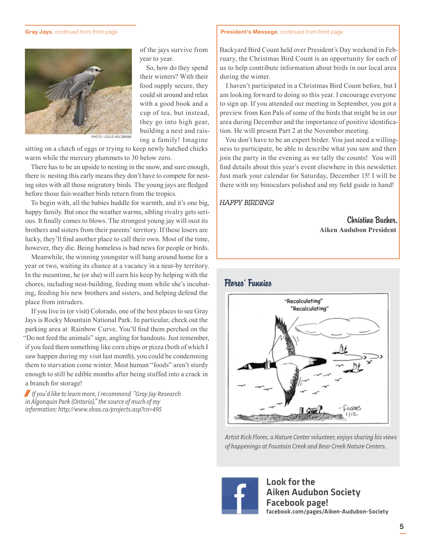#### Gray Jays, continued from front page President's Message, continued from front page

PHOTO: LESLIE HOLZMANN

sitting on a clutch of eggs or trying to keep newly hatched chicks warm while the mercury plummets to 30 below zero.

of the jays survive from

So, how do they spend their winters? With their food supply secure, they could sit around and relax with a good book and a cup of tea, but instead, they go into high gear, building a nest and raising a family! Imagine

year to year.

There has to be an upside to nesting in the snow, and sure enough, there is: nesting this early means they don't have to compete for nesting sites with all those migratory birds. The young jays are fledged before those fair-weather birds return from the tropics.

To begin with, all the babies huddle for warmth, and it's one big, happy family. But once the weather warms, sibling rivalry gets serious. It finally comes to blows. The strongest young jay will oust its brothers and sisters from their parents' territory. If these losers are lucky, they'll find another place to call their own. Most of the time, however, they die. Being homeless is bad news for people or birds.

Meanwhile, the winning youngster will hang around home for a year or two, waiting its chance at a vacancy in a near-by territory. In the meantime, he (or she) will earn his keep by helping with the chores, including nest-building, feeding mom while she's incubating, feeding his new brothers and sisters, and helping defend the place from intruders.

If you live in (or visit) Colorado, one of the best places to see Gray Jays is Rocky Mountain National Park. In particular, check out the parking area at Rainbow Curve. You'll find them perched on the "Do not feed the animals" sign, angling for handouts. Just remember, if you feed them something like corn chips or pizza (both of which I saw happen during my visit last month), you could be condemning them to starvation come winter. Most human "foods" aren't sturdy enough to still be edible months after being stuffed into a crack in a branch for storage!

/*If you'd like to learn more, I recommend "Gray Jay Research in Algonquin Park (Ontario)," the source of much of my information: http://www.sbaa.ca/projects.asp?cn=495*

Backyard Bird Count held over President's Day weekend in February, the Christmas Bird Count is an opportunity for each of us to help contribute information about birds in our local area during the winter.

I haven't participated in a Christmas Bird Count before, but I am looking forward to doing so this year. I encourage everyone to sign up. If you attended our meeting in September, you got a preview from Ken Pals of some of the birds that might be in our area during December and the importance of positive identification. He will present Part 2 at the November meeting.

You don't have to be an expert birder. You just need a willingness to participate, be able to describe what you saw and then join the party in the evening as we tally the counts! You will find details about this year's event elsewhere in this newsletter. Just mark your calendar for Saturday, December 15! I will be there with my binoculars polished and my field guide in hand!

#### *Happy Birding!*

Christine Bucher, **Aiken Audubon President**

### Flores' Funnies



*Artist Rick Flores, a Nature Center volunteer, enjoys sharing his views of happenings at Fountain Creek and Bear Creek Nature Centers.* 



Look for the Aiken Audubon Society Facebook page! facebook.com/pages/Aiken-Audubon-Society